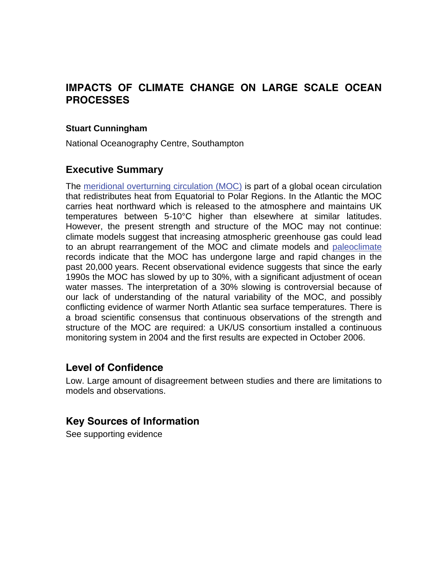# **IMPACTS OF CLIMATE CHANGE ON LARGE SCALE OCEAN PROCESSES**

### **Stuart Cunningham**

National Oceanography Centre, Southampton

# **Executive Summary**

The [meridional overturning circulation \(MOC\)](http://www.mccip.org.uk/arc/glossary.htm) is part of a global ocean circulation that redistributes heat from Equatorial to Polar Regions. In the Atlantic the MOC carries heat northward which is released to the atmosphere and maintains UK temperatures between 5-10°C higher than elsewhere at similar latitudes. However, the present strength and structure of the MOC may not continue: climate models suggest that increasing atmospheric greenhouse gas could lead to an abrupt rearrangement of the MOC and climate models and [paleoclimate](http://www.mccip.org.uk/arc/glossary.htm) records indicate that the MOC has undergone large and rapid changes in the past 20,000 years. Recent observational evidence suggests that since the early 1990s the MOC has slowed by up to 30%, with a significant adjustment of ocean water masses. The interpretation of a 30% slowing is controversial because of our lack of understanding of the natural variability of the MOC, and possibly conflicting evidence of warmer North Atlantic sea surface temperatures. There is a broad scientific consensus that continuous observations of the strength and structure of the MOC are required: a UK/US consortium installed a continuous monitoring system in 2004 and the first results are expected in October 2006.

# **Level of Confidence**

Low. Large amount of disagreement between studies and there are limitations to models and observations.

# **Key Sources of Information**

See supporting evidence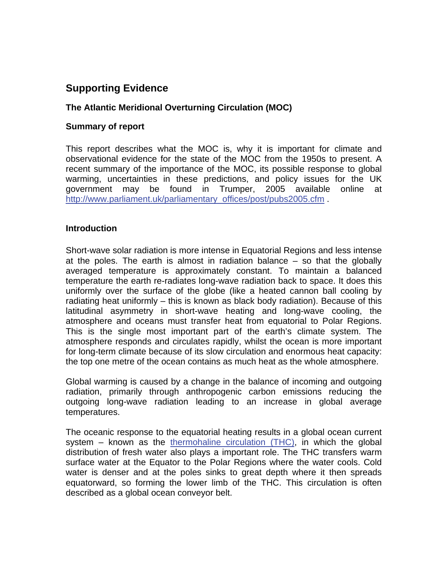# **Supporting Evidence**

## **The Atlantic Meridional Overturning Circulation (MOC)**

#### **Summary of report**

This report describes what the MOC is, why it is important for climate and observational evidence for the state of the MOC from the 1950s to present. A recent summary of the importance of the MOC, its possible response to global warming, uncertainties in these predictions, and policy issues for the UK government may be found in Trumper, 2005 available online at [http://www.parliament.uk/parliamentary\\_offices/post/pubs2005.cfm](http://www.parliament.uk/parliamentary_offices/post/pubs2005.cfm) .

#### **Introduction**

Short-wave solar radiation is more intense in Equatorial Regions and less intense at the poles. The earth is almost in radiation balance – so that the globally averaged temperature is approximately constant. To maintain a balanced temperature the earth re-radiates long-wave radiation back to space. It does this uniformly over the surface of the globe (like a heated cannon ball cooling by radiating heat uniformly – this is known as black body radiation). Because of this latitudinal asymmetry in short-wave heating and long-wave cooling, the atmosphere and oceans must transfer heat from equatorial to Polar Regions. This is the single most important part of the earth's climate system. The atmosphere responds and circulates rapidly, whilst the ocean is more important for long-term climate because of its slow circulation and enormous heat capacity: the top one metre of the ocean contains as much heat as the whole atmosphere.

Global warming is caused by a change in the balance of incoming and outgoing radiation, primarily through anthropogenic carbon emissions reducing the outgoing long-wave radiation leading to an increase in global average temperatures.

The oceanic response to the equatorial heating results in a global ocean current system – known as the thermohaline circulation  $(THC)$ , in which the global distribution of fresh water also plays a important role. The THC transfers warm surface water at the Equator to the Polar Regions where the water cools. Cold water is denser and at the poles sinks to great depth where it then spreads equatorward, so forming the lower limb of the THC. This circulation is often described as a global ocean conveyor belt.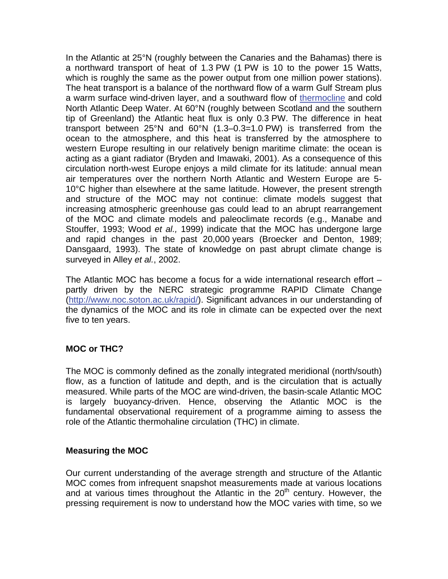In the Atlantic at 25°N (roughly between the Canaries and the Bahamas) there is a northward transport of heat of 1.3 PW (1 PW is 10 to the power 15 Watts, which is roughly the same as the power output from one million power stations). The heat transport is a balance of the northward flow of a warm Gulf Stream plus a warm surface wind-driven layer, and a southward flow o[f thermocline a](http://www.mccip.org.uk/arc/glossary.htm)nd cold North Atlantic Deep Water. At 60°N (roughly between Scotland and the southern tip of Greenland) the Atlantic heat flux is only 0.3 PW. The difference in heat transport between 25°N and 60°N (1.3–0.3=1.0 PW) is transferred from the ocean to the atmosphere, and this heat is transferred by the atmosphere to western Europe resulting in our relatively benign maritime climate: the ocean is acting as a giant radiator (Bryden and Imawaki, 2001). As a consequence of this circulation north-west Europe enjoys a mild climate for its latitude: annual mean air temperatures over the northern North Atlantic and Western Europe are 5- 10°C higher than elsewhere at the same latitude. However, the present strength and structure of the MOC may not continue: climate models suggest that increasing atmospheric greenhouse gas could lead to an abrupt rearrangement of the MOC and climate models and paleoclimate records (e.g., Manabe and Stouffer, 1993; Wood *et al.,* 1999) indicate that the MOC has undergone large and rapid changes in the past 20,000 years (Broecker and Denton, 1989; Dansgaard, 1993). The state of knowledge on past abrupt climate change is surveyed in Alley *et al.*, 2002.

The Atlantic MOC has become a focus for a wide international research effort – partly driven by the NERC strategic programme RAPID Climate Change ([http://www.noc.soton.ac.uk/rapid/\)](http://www.noc.soton.ac.uk/rapid/). Significant advances in our understanding of the dynamics of the MOC and its role in climate can be expected over the next five to ten years.

## **MOC or THC?**

The MOC is commonly defined as the zonally integrated meridional (north/south) flow, as a function of latitude and depth, and is the circulation that is actually measured. While parts of the MOC are wind-driven, the basin-scale Atlantic MOC is largely buoyancy-driven. Hence, observing the Atlantic MOC is the fundamental observational requirement of a programme aiming to assess the role of the Atlantic thermohaline circulation (THC) in climate.

### **Measuring the MOC**

Our current understanding of the average strength and structure of the Atlantic MOC comes from infrequent snapshot measurements made at various locations and at various times throughout the Atlantic in the  $20<sup>th</sup>$  century. However, the pressing requirement is now to understand how the MOC varies with time, so we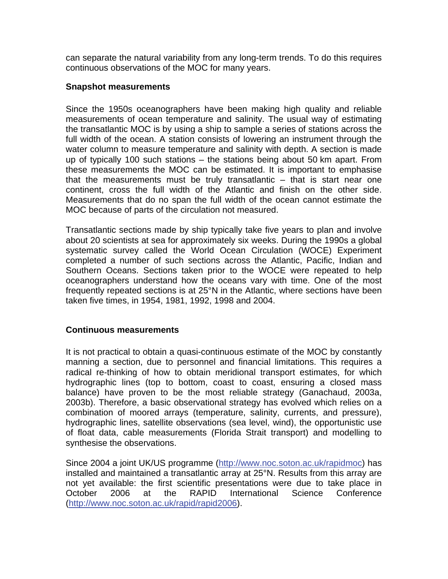can separate the natural variability from any long-term trends. To do this requires continuous observations of the MOC for many years.

#### **Snapshot measurements**

Since the 1950s oceanographers have been making high quality and reliable measurements of ocean temperature and salinity. The usual way of estimating the transatlantic MOC is by using a ship to sample a series of stations across the full width of the ocean. A station consists of lowering an instrument through the water column to measure temperature and salinity with depth. A section is made up of typically 100 such stations – the stations being about 50 km apart. From these measurements the MOC can be estimated. It is important to emphasise that the measurements must be truly transatlantic – that is start near one continent, cross the full width of the Atlantic and finish on the other side. Measurements that do no span the full width of the ocean cannot estimate the MOC because of parts of the circulation not measured.

Transatlantic sections made by ship typically take five years to plan and involve about 20 scientists at sea for approximately six weeks. During the 1990s a global systematic survey called the World Ocean Circulation (WOCE) Experiment completed a number of such sections across the Atlantic, Pacific, Indian and Southern Oceans. Sections taken prior to the WOCE were repeated to help oceanographers understand how the oceans vary with time. One of the most frequently repeated sections is at 25°N in the Atlantic, where sections have been taken five times, in 1954, 1981, 1992, 1998 and 2004.

### **Continuous measurements**

It is not practical to obtain a quasi-continuous estimate of the MOC by constantly manning a section, due to personnel and financial limitations. This requires a radical re-thinking of how to obtain meridional transport estimates, for which hydrographic lines (top to bottom, coast to coast, ensuring a closed mass balance) have proven to be the most reliable strategy (Ganachaud, 2003a, 2003b). Therefore, a basic observational strategy has evolved which relies on a combination of moored arrays (temperature, salinity, currents, and pressure), hydrographic lines, satellite observations (sea level, wind), the opportunistic use of float data, cable measurements (Florida Strait transport) and modelling to synthesise the observations.

Since 2004 a joint UK/US programme ([http://www.noc.soton.ac.uk/rapidmoc\)](http://www.noc.soton.ac.uk/rapidmoc) has installed and maintained a transatlantic array at 25°N. Results from this array are not yet available: the first scientific presentations were due to take place in October 2006 at the RAPID International Science Conference (<http://www.noc.soton.ac.uk/rapid/rapid2006>).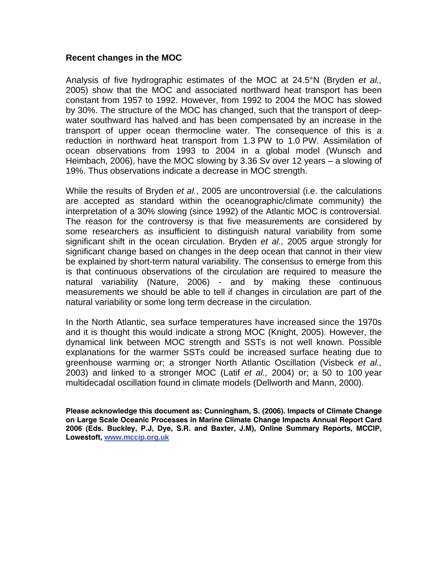#### **Recent changes in the MOC**

Analysis of five hydrographic estimates of the MOC at 24.5°N (Bryden *et al.,* 2005) show that the MOC and associated northward heat transport has been constant from 1957 to 1992. However, from 1992 to 2004 the MOC has slowed by 30%. The structure of the MOC has changed, such that the transport of deepwater southward has halved and has been compensated by an increase in the transport of upper ocean thermocline water. The consequence of this is a reduction in northward heat transport from 1.3 PW to 1.0 PW. Assimilation of ocean observations from 1993 to 2004 in a global model (Wunsch and Heimbach, 2006), have the MOC slowing by 3.36 Sv over 12 years – a slowing of 19%. Thus observations indicate a decrease in MOC strength.

While the results of Bryden *et al.*, 2005 are uncontroversial (i.e. the calculations are accepted as standard within the oceanographic/climate community) the interpretation of a 30% slowing (since 1992) of the Atlantic MOC is controversial. The reason for the controversy is that five measurements are considered by some researchers as insufficient to distinguish natural variability from some significant shift in the ocean circulation. Bryden *et al.,* 2005 argue strongly for significant change based on changes in the deep ocean that cannot in their view be explained by short-term natural variability. The consensus to emerge from this is that continuous observations of the circulation are required to measure the natural variability (Nature, 2006) - and by making these continuous measurements we should be able to tell if changes in circulation are part of the natural variability or some long term decrease in the circulation.

In the North Atlantic, sea surface temperatures have increased since the 1970s and it is thought this would indicate a strong MOC (Knight, 2005). However, the dynamical link between MOC strength and SSTs is not well known. Possible explanations for the warmer SSTs could be increased surface heating due to greenhouse warming or; a stronger North Atlantic Oscillation (Visbeck *et al.,* 2003) and linked to a stronger MOC (Latif *et al.,* 2004) or; a 50 to 100 year multidecadal oscillation found in climate models (Dellworth and Mann, 2000).

**Please acknowledge this document as: Cunningham, S. (2006). Impacts of Climate Change on Large Scale Oceanic Processes in Marine Climate Change Impacts Annual Report Card 2006 (Eds. Buckley, P.J, Dye, S.R. and Baxter, J.M), Online Summary Reports, MCCIP, Lowestoft, [www.mccip.org.uk](http://www.mccip.org.uk/)**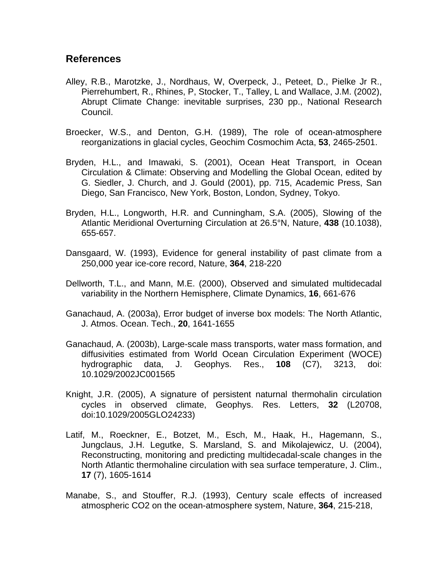## **References**

- Alley, R.B., Marotzke, J., Nordhaus, W, Overpeck, J., Peteet, D., Pielke Jr R., Pierrehumbert, R., Rhines, P, Stocker, T., Talley, L and Wallace, J.M. (2002), Abrupt Climate Change: inevitable surprises, 230 pp., National Research Council.
- Broecker, W.S., and Denton, G.H. (1989), The role of ocean-atmosphere reorganizations in glacial cycles, Geochim Cosmochim Acta, **53**, 2465-2501.
- Bryden, H.L., and Imawaki, S. (2001), Ocean Heat Transport, in Ocean Circulation & Climate: Observing and Modelling the Global Ocean, edited by G. Siedler, J. Church, and J. Gould (2001), pp. 715, Academic Press, San Diego, San Francisco, New York, Boston, London, Sydney, Tokyo.
- Bryden, H.L., Longworth, H.R. and Cunningham, S.A. (2005), Slowing of the Atlantic Meridional Overturning Circulation at 26.5°N, Nature, **438** (10.1038), 655-657.
- Dansgaard, W. (1993), Evidence for general instability of past climate from a 250,000 year ice-core record, Nature, **364**, 218-220
- Dellworth, T.L., and Mann, M.E. (2000), Observed and simulated multidecadal variability in the Northern Hemisphere, Climate Dynamics, **16**, 661-676
- Ganachaud, A. (2003a), Error budget of inverse box models: The North Atlantic, J. Atmos. Ocean. Tech., **20**, 1641-1655
- Ganachaud, A. (2003b), Large-scale mass transports, water mass formation, and diffusivities estimated from World Ocean Circulation Experiment (WOCE) hydrographic data, J. Geophys. Res., **108** (C7), 3213, doi: 10.1029/2002JC001565
- Knight, J.R. (2005), A signature of persistent naturnal thermohalin circulation cycles in observed climate, Geophys. Res. Letters, **32** (L20708, doi:10.1029/2005GLO24233)
- Latif, M., Roeckner, E., Botzet, M., Esch, M., Haak, H., Hagemann, S., Jungclaus, J.H. Legutke, S. Marsland, S. and Mikolajewicz, U. (2004), Reconstructing, monitoring and predicting multidecadal-scale changes in the North Atlantic thermohaline circulation with sea surface temperature, J. Clim., **17** (7), 1605-1614
- Manabe, S., and Stouffer, R.J. (1993), Century scale effects of increased atmospheric CO2 on the ocean-atmosphere system, Nature, **364**, 215-218,